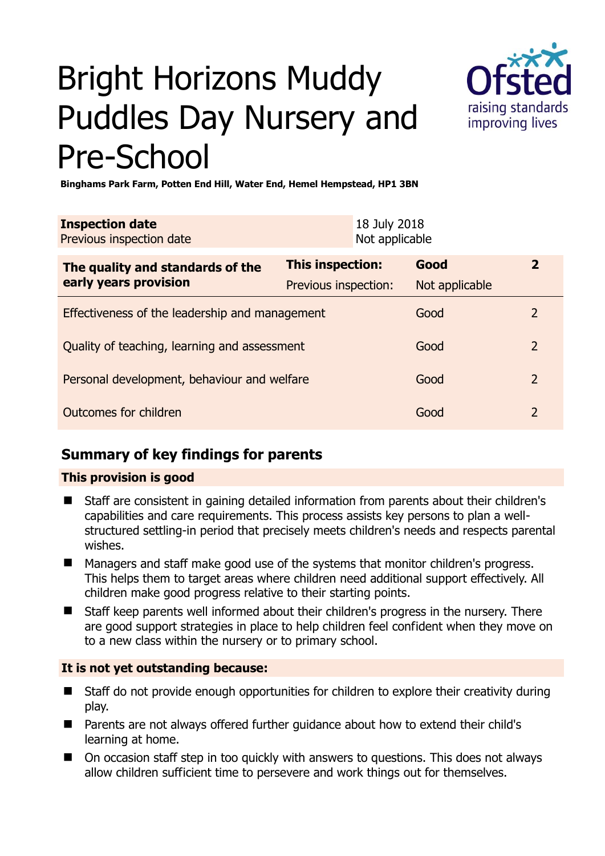# Bright Horizons Muddy Puddles Day Nursery and Pre-School



**Binghams Park Farm, Potten End Hill, Water End, Hemel Hempstead, HP1 3BN** 

| <b>Inspection date</b><br>Previous inspection date        |                      | 18 July 2018<br>Not applicable |                |               |
|-----------------------------------------------------------|----------------------|--------------------------------|----------------|---------------|
| The quality and standards of the<br>early years provision | This inspection:     |                                | Good           | $\mathbf{2}$  |
|                                                           | Previous inspection: |                                | Not applicable |               |
| Effectiveness of the leadership and management            |                      |                                | Good           | $\mathcal{L}$ |
| Quality of teaching, learning and assessment              |                      |                                | Good           | 2             |
| Personal development, behaviour and welfare               |                      |                                | Good           | 2             |
| Outcomes for children                                     |                      |                                | Good           | 2             |

# **Summary of key findings for parents**

## **This provision is good**

- Staff are consistent in gaining detailed information from parents about their children's capabilities and care requirements. This process assists key persons to plan a wellstructured settling-in period that precisely meets children's needs and respects parental wishes.
- Managers and staff make good use of the systems that monitor children's progress. This helps them to target areas where children need additional support effectively. All children make good progress relative to their starting points.
- Staff keep parents well informed about their children's progress in the nursery. There are good support strategies in place to help children feel confident when they move on to a new class within the nursery or to primary school.

## **It is not yet outstanding because:**

- Staff do not provide enough opportunities for children to explore their creativity during play.
- Parents are not always offered further guidance about how to extend their child's learning at home.
- On occasion staff step in too quickly with answers to questions. This does not always allow children sufficient time to persevere and work things out for themselves.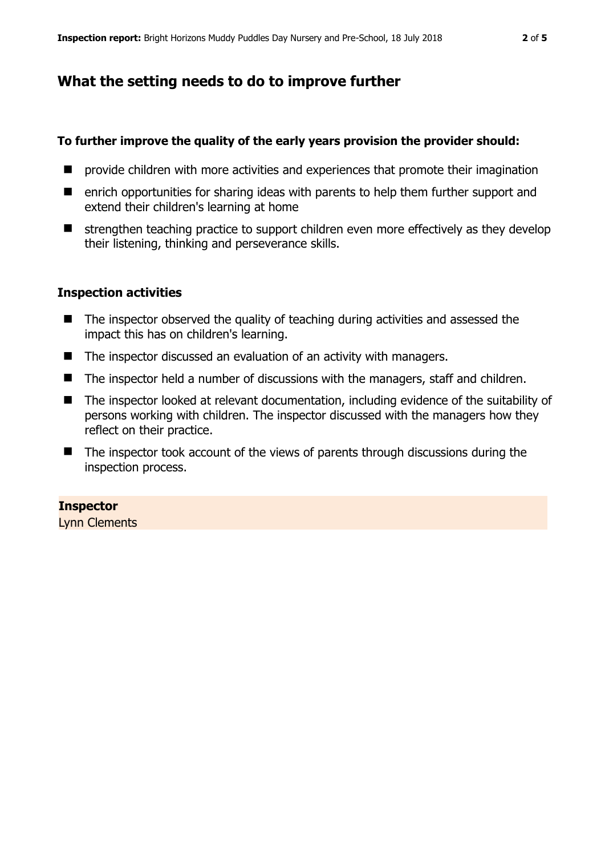# **What the setting needs to do to improve further**

### **To further improve the quality of the early years provision the provider should:**

- **P** provide children with more activities and experiences that promote their imagination
- enrich opportunities for sharing ideas with parents to help them further support and extend their children's learning at home
- $\blacksquare$  strengthen teaching practice to support children even more effectively as they develop their listening, thinking and perseverance skills.

## **Inspection activities**

- The inspector observed the quality of teaching during activities and assessed the impact this has on children's learning.
- The inspector discussed an evaluation of an activity with managers.
- The inspector held a number of discussions with the managers, staff and children.
- The inspector looked at relevant documentation, including evidence of the suitability of persons working with children. The inspector discussed with the managers how they reflect on their practice.
- The inspector took account of the views of parents through discussions during the inspection process.

#### **Inspector**

Lynn Clements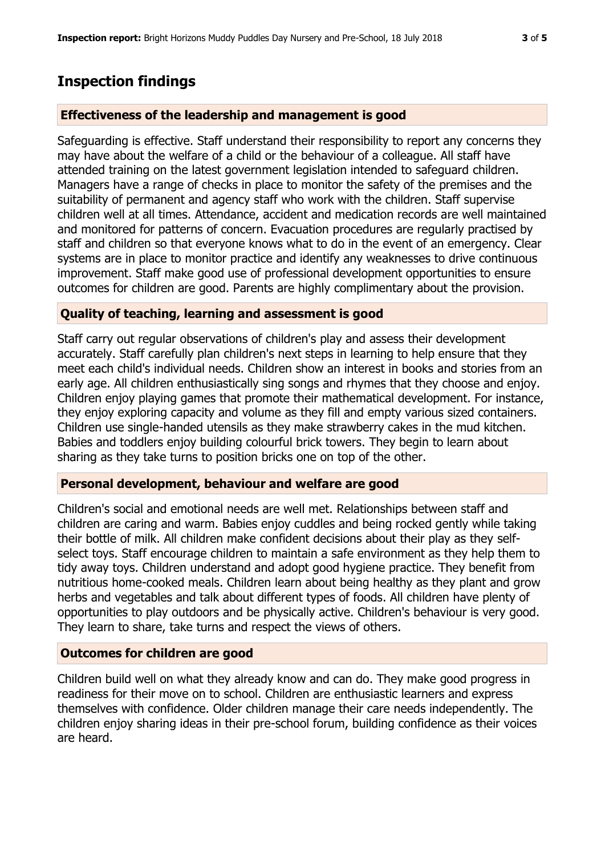# **Inspection findings**

#### **Effectiveness of the leadership and management is good**

Safeguarding is effective. Staff understand their responsibility to report any concerns they may have about the welfare of a child or the behaviour of a colleague. All staff have attended training on the latest government legislation intended to safeguard children. Managers have a range of checks in place to monitor the safety of the premises and the suitability of permanent and agency staff who work with the children. Staff supervise children well at all times. Attendance, accident and medication records are well maintained and monitored for patterns of concern. Evacuation procedures are regularly practised by staff and children so that everyone knows what to do in the event of an emergency. Clear systems are in place to monitor practice and identify any weaknesses to drive continuous improvement. Staff make good use of professional development opportunities to ensure outcomes for children are good. Parents are highly complimentary about the provision.

#### **Quality of teaching, learning and assessment is good**

Staff carry out regular observations of children's play and assess their development accurately. Staff carefully plan children's next steps in learning to help ensure that they meet each child's individual needs. Children show an interest in books and stories from an early age. All children enthusiastically sing songs and rhymes that they choose and enjoy. Children enjoy playing games that promote their mathematical development. For instance, they enjoy exploring capacity and volume as they fill and empty various sized containers. Children use single-handed utensils as they make strawberry cakes in the mud kitchen. Babies and toddlers enjoy building colourful brick towers. They begin to learn about sharing as they take turns to position bricks one on top of the other.

#### **Personal development, behaviour and welfare are good**

Children's social and emotional needs are well met. Relationships between staff and children are caring and warm. Babies enjoy cuddles and being rocked gently while taking their bottle of milk. All children make confident decisions about their play as they selfselect toys. Staff encourage children to maintain a safe environment as they help them to tidy away toys. Children understand and adopt good hygiene practice. They benefit from nutritious home-cooked meals. Children learn about being healthy as they plant and grow herbs and vegetables and talk about different types of foods. All children have plenty of opportunities to play outdoors and be physically active. Children's behaviour is very good. They learn to share, take turns and respect the views of others.

## **Outcomes for children are good**

Children build well on what they already know and can do. They make good progress in readiness for their move on to school. Children are enthusiastic learners and express themselves with confidence. Older children manage their care needs independently. The children enjoy sharing ideas in their pre-school forum, building confidence as their voices are heard.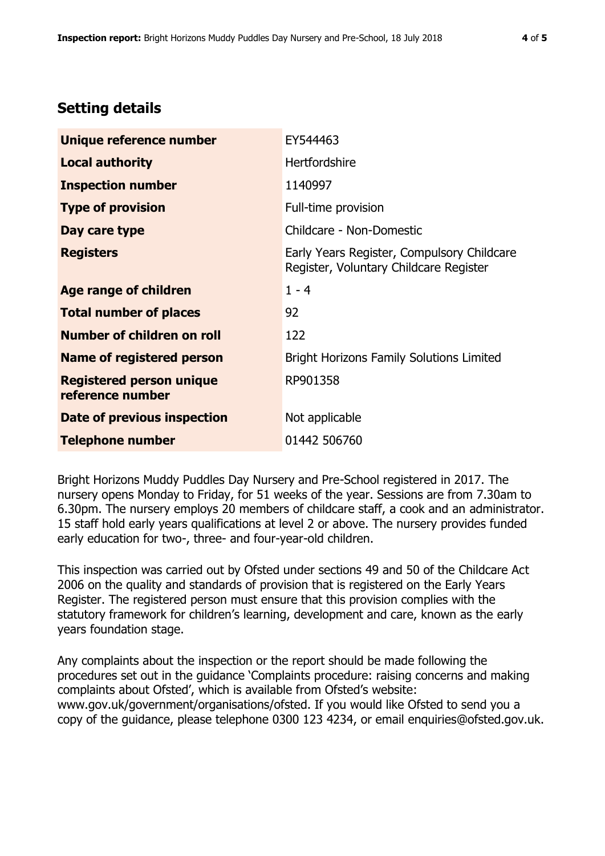# **Setting details**

| Unique reference number                             | EY544463                                                                             |  |
|-----------------------------------------------------|--------------------------------------------------------------------------------------|--|
| <b>Local authority</b>                              | <b>Hertfordshire</b>                                                                 |  |
| <b>Inspection number</b>                            | 1140997                                                                              |  |
| <b>Type of provision</b>                            | Full-time provision                                                                  |  |
| Day care type                                       | Childcare - Non-Domestic                                                             |  |
| <b>Registers</b>                                    | Early Years Register, Compulsory Childcare<br>Register, Voluntary Childcare Register |  |
| Age range of children                               | $1 - 4$                                                                              |  |
| <b>Total number of places</b>                       | 92                                                                                   |  |
| Number of children on roll                          | 122                                                                                  |  |
| <b>Name of registered person</b>                    | <b>Bright Horizons Family Solutions Limited</b>                                      |  |
| <b>Registered person unique</b><br>reference number | RP901358                                                                             |  |
| Date of previous inspection                         | Not applicable                                                                       |  |
| <b>Telephone number</b>                             | 01442 506760                                                                         |  |

Bright Horizons Muddy Puddles Day Nursery and Pre-School registered in 2017. The nursery opens Monday to Friday, for 51 weeks of the year. Sessions are from 7.30am to 6.30pm. The nursery employs 20 members of childcare staff, a cook and an administrator. 15 staff hold early years qualifications at level 2 or above. The nursery provides funded early education for two-, three- and four-year-old children.

This inspection was carried out by Ofsted under sections 49 and 50 of the Childcare Act 2006 on the quality and standards of provision that is registered on the Early Years Register. The registered person must ensure that this provision complies with the statutory framework for children's learning, development and care, known as the early years foundation stage.

Any complaints about the inspection or the report should be made following the procedures set out in the guidance 'Complaints procedure: raising concerns and making complaints about Ofsted', which is available from Ofsted's website: www.gov.uk/government/organisations/ofsted. If you would like Ofsted to send you a copy of the guidance, please telephone 0300 123 4234, or email enquiries@ofsted.gov.uk.